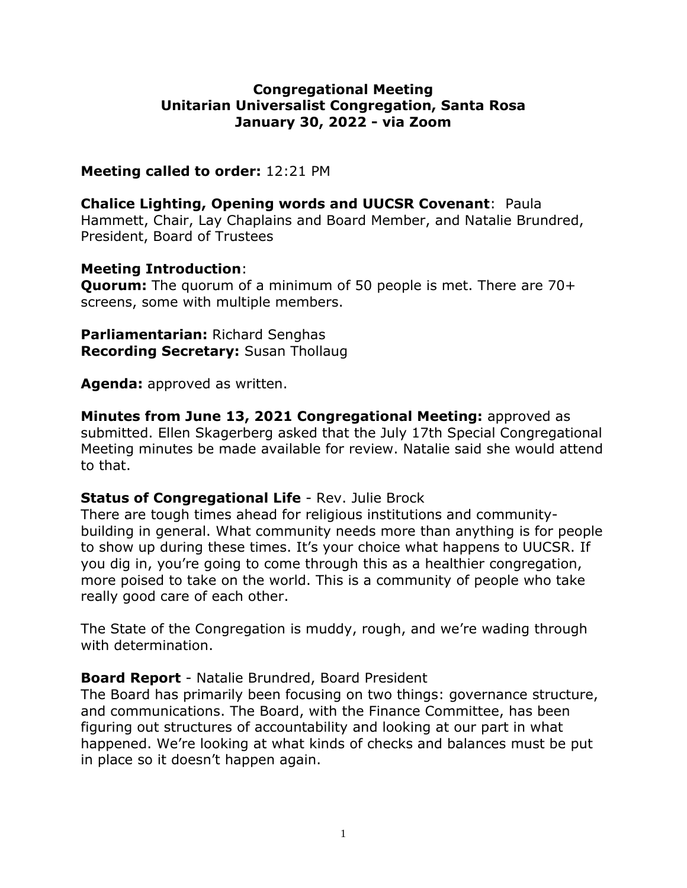## **Congregational Meeting Unitarian Universalist Congregation, Santa Rosa January 30, 2022 - via Zoom**

### **Meeting called to order:** 12:21 PM

**Chalice Lighting, Opening words and UUCSR Covenant**: Paula Hammett, Chair, Lay Chaplains and Board Member, and Natalie Brundred, President, Board of Trustees

### **Meeting Introduction**:

**Quorum:** The quorum of a minimum of 50 people is met. There are 70+ screens, some with multiple members.

**Parliamentarian:** Richard Senghas **Recording Secretary:** Susan Thollaug

**Agenda:** approved as written.

**Minutes from June 13, 2021 Congregational Meeting:** approved as submitted. Ellen Skagerberg asked that the July 17th Special Congregational Meeting minutes be made available for review. Natalie said she would attend to that.

## **Status of Congregational Life** - Rev. Julie Brock

There are tough times ahead for religious institutions and communitybuilding in general. What community needs more than anything is for people to show up during these times. It's your choice what happens to UUCSR. If you dig in, you're going to come through this as a healthier congregation, more poised to take on the world. This is a community of people who take really good care of each other.

The State of the Congregation is muddy, rough, and we're wading through with determination.

## **Board Report** - Natalie Brundred, Board President

The Board has primarily been focusing on two things: governance structure, and communications. The Board, with the Finance Committee, has been figuring out structures of accountability and looking at our part in what happened. We're looking at what kinds of checks and balances must be put in place so it doesn't happen again.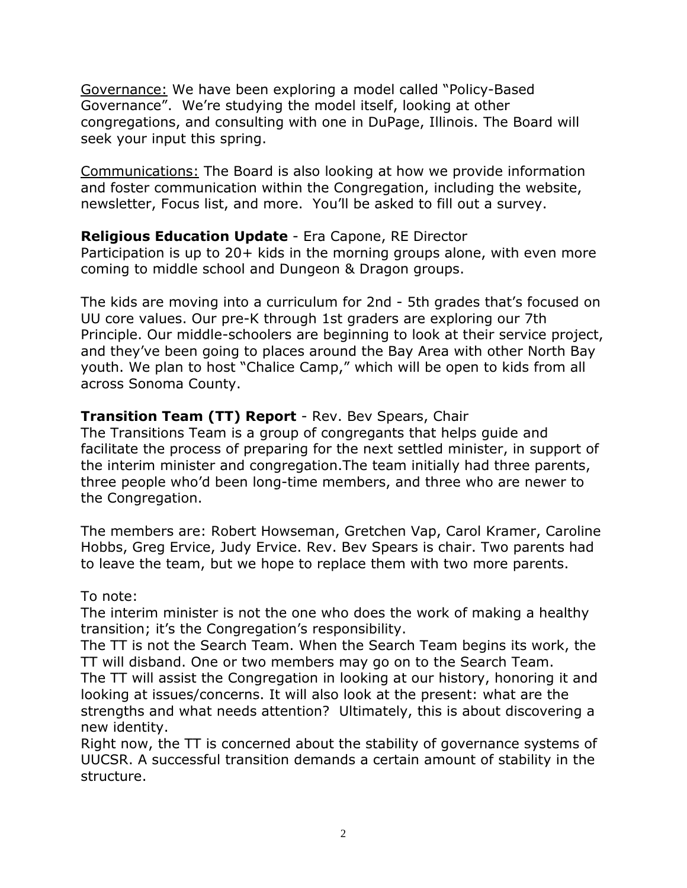Governance: We have been exploring a model called "Policy-Based Governance". We're studying the model itself, looking at other congregations, and consulting with one in DuPage, Illinois. The Board will seek your input this spring.

Communications: The Board is also looking at how we provide information and foster communication within the Congregation, including the website, newsletter, Focus list, and more. You'll be asked to fill out a survey.

## **Religious Education Update** - Era Capone, RE Director

Participation is up to 20+ kids in the morning groups alone, with even more coming to middle school and Dungeon & Dragon groups.

The kids are moving into a curriculum for 2nd - 5th grades that's focused on UU core values. Our pre-K through 1st graders are exploring our 7th Principle. Our middle-schoolers are beginning to look at their service project, and they've been going to places around the Bay Area with other North Bay youth. We plan to host "Chalice Camp," which will be open to kids from all across Sonoma County.

# **Transition Team (TT) Report** - Rev. Bev Spears, Chair

The Transitions Team is a group of congregants that helps guide and facilitate the process of preparing for the next settled minister, in support of the interim minister and congregation.The team initially had three parents, three people who'd been long-time members, and three who are newer to the Congregation.

The members are: Robert Howseman, Gretchen Vap, Carol Kramer, Caroline Hobbs, Greg Ervice, Judy Ervice. Rev. Bev Spears is chair. Two parents had to leave the team, but we hope to replace them with two more parents.

#### To note:

The interim minister is not the one who does the work of making a healthy transition; it's the Congregation's responsibility.

The TT is not the Search Team. When the Search Team begins its work, the TT will disband. One or two members may go on to the Search Team.

The TT will assist the Congregation in looking at our history, honoring it and looking at issues/concerns. It will also look at the present: what are the strengths and what needs attention? Ultimately, this is about discovering a new identity.

Right now, the TT is concerned about the stability of governance systems of UUCSR. A successful transition demands a certain amount of stability in the structure.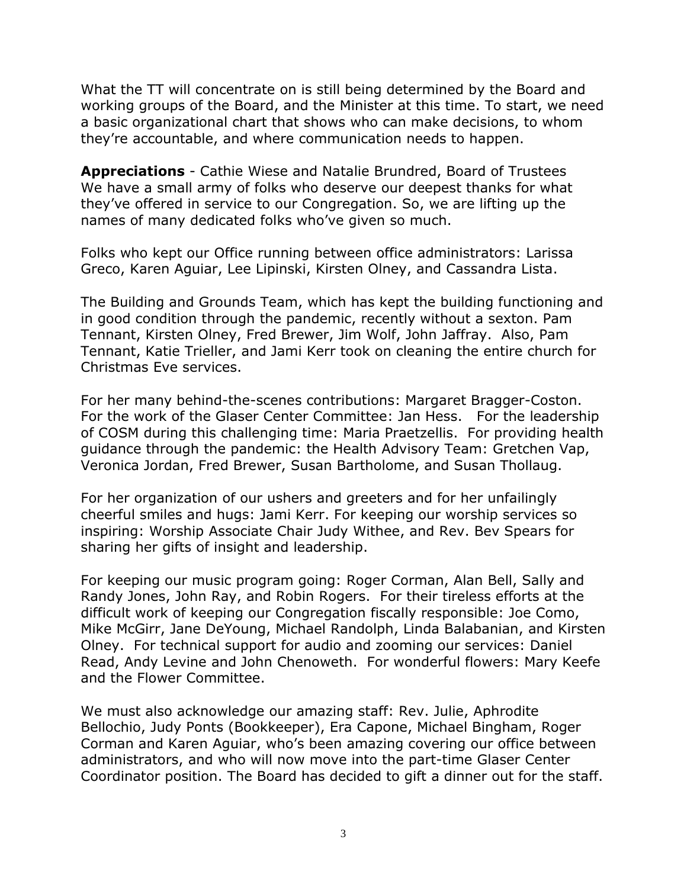What the TT will concentrate on is still being determined by the Board and working groups of the Board, and the Minister at this time. To start, we need a basic organizational chart that shows who can make decisions, to whom they're accountable, and where communication needs to happen.

**Appreciations** - Cathie Wiese and Natalie Brundred, Board of Trustees We have a small army of folks who deserve our deepest thanks for what they've offered in service to our Congregation. So, we are lifting up the names of many dedicated folks who've given so much.

Folks who kept our Office running between office administrators: Larissa Greco, Karen Aguiar, Lee Lipinski, Kirsten Olney, and Cassandra Lista.

The Building and Grounds Team, which has kept the building functioning and in good condition through the pandemic, recently without a sexton. Pam Tennant, Kirsten Olney, Fred Brewer, Jim Wolf, John Jaffray. Also, Pam Tennant, Katie Trieller, and Jami Kerr took on cleaning the entire church for Christmas Eve services.

For her many behind-the-scenes contributions: Margaret Bragger-Coston. For the work of the Glaser Center Committee: Jan Hess. For the leadership of COSM during this challenging time: Maria Praetzellis. For providing health guidance through the pandemic: the Health Advisory Team: Gretchen Vap, Veronica Jordan, Fred Brewer, Susan Bartholome, and Susan Thollaug.

For her organization of our ushers and greeters and for her unfailingly cheerful smiles and hugs: Jami Kerr. For keeping our worship services so inspiring: Worship Associate Chair Judy Withee, and Rev. Bev Spears for sharing her gifts of insight and leadership.

For keeping our music program going: Roger Corman, Alan Bell, Sally and Randy Jones, John Ray, and Robin Rogers. For their tireless efforts at the difficult work of keeping our Congregation fiscally responsible: Joe Como, Mike McGirr, Jane DeYoung, Michael Randolph, Linda Balabanian, and Kirsten Olney. For technical support for audio and zooming our services: Daniel Read, Andy Levine and John Chenoweth. For wonderful flowers: Mary Keefe and the Flower Committee.

We must also acknowledge our amazing staff: Rev. Julie, Aphrodite Bellochio, Judy Ponts (Bookkeeper), Era Capone, Michael Bingham, Roger Corman and Karen Aguiar, who's been amazing covering our office between administrators, and who will now move into the part-time Glaser Center Coordinator position. The Board has decided to gift a dinner out for the staff.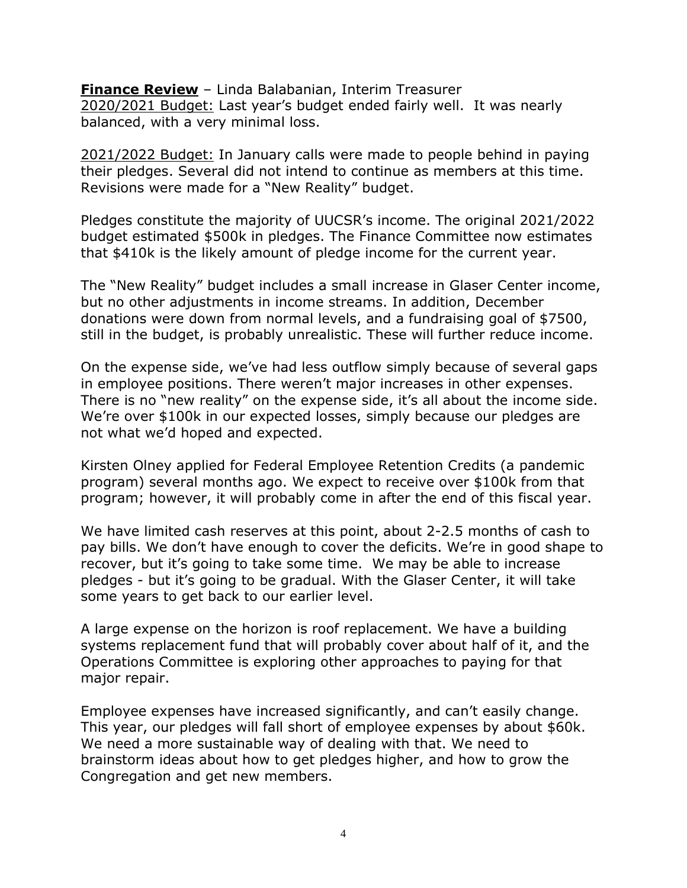**Finance Review** – Linda Balabanian, Interim Treasurer 2020/2021 Budget: Last year's budget ended fairly well. It was nearly balanced, with a very minimal loss.

2021/2022 Budget: In January calls were made to people behind in paying their pledges. Several did not intend to continue as members at this time. Revisions were made for a "New Reality" budget.

Pledges constitute the majority of UUCSR's income. The original 2021/2022 budget estimated \$500k in pledges. The Finance Committee now estimates that \$410k is the likely amount of pledge income for the current year.

The "New Reality" budget includes a small increase in Glaser Center income, but no other adjustments in income streams. In addition, December donations were down from normal levels, and a fundraising goal of \$7500, still in the budget, is probably unrealistic. These will further reduce income.

On the expense side, we've had less outflow simply because of several gaps in employee positions. There weren't major increases in other expenses. There is no "new reality" on the expense side, it's all about the income side. We're over \$100k in our expected losses, simply because our pledges are not what we'd hoped and expected.

Kirsten Olney applied for Federal Employee Retention Credits (a pandemic program) several months ago. We expect to receive over \$100k from that program; however, it will probably come in after the end of this fiscal year.

We have limited cash reserves at this point, about 2-2.5 months of cash to pay bills. We don't have enough to cover the deficits. We're in good shape to recover, but it's going to take some time. We may be able to increase pledges - but it's going to be gradual. With the Glaser Center, it will take some years to get back to our earlier level.

A large expense on the horizon is roof replacement. We have a building systems replacement fund that will probably cover about half of it, and the Operations Committee is exploring other approaches to paying for that major repair.

Employee expenses have increased significantly, and can't easily change. This year, our pledges will fall short of employee expenses by about \$60k. We need a more sustainable way of dealing with that. We need to brainstorm ideas about how to get pledges higher, and how to grow the Congregation and get new members.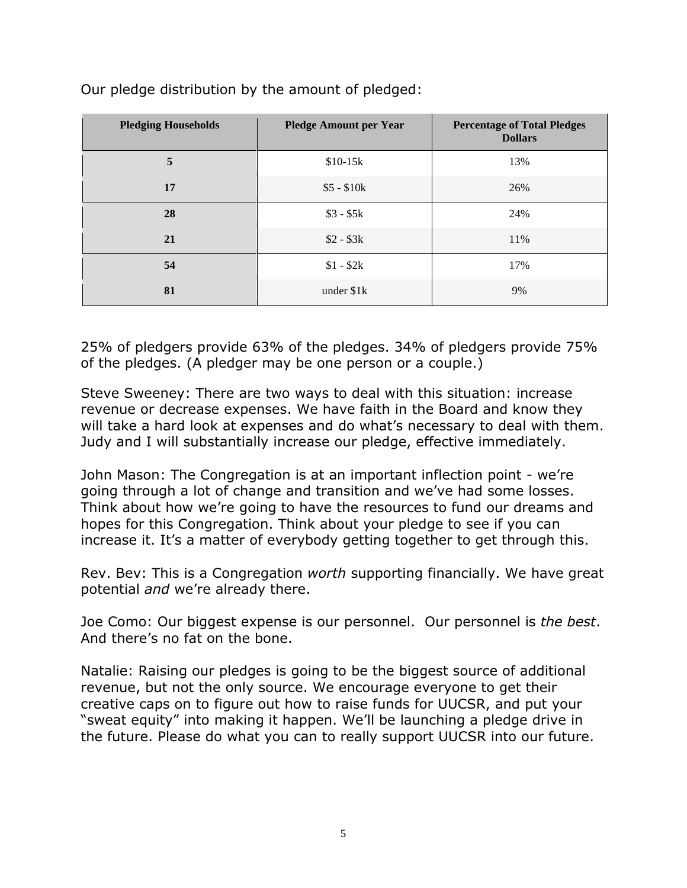| <b>Pledging Households</b> | <b>Pledge Amount per Year</b> | <b>Percentage of Total Pledges</b><br><b>Dollars</b> |
|----------------------------|-------------------------------|------------------------------------------------------|
| 5                          | $$10-15k$                     | 13%                                                  |
| 17                         | $$5 - $10k$                   | 26%                                                  |
| 28                         | $$3 - $5k$                    | 24%                                                  |
| 21                         | $$2 - $3k$                    | 11%                                                  |
| 54                         | $$1 - $2k$$                   | 17%                                                  |
| 81                         | under $$1k$                   | 9%                                                   |

Our pledge distribution by the amount of pledged:

25% of pledgers provide 63% of the pledges. 34% of pledgers provide 75% of the pledges. (A pledger may be one person or a couple.)

Steve Sweeney: There are two ways to deal with this situation: increase revenue or decrease expenses. We have faith in the Board and know they will take a hard look at expenses and do what's necessary to deal with them. Judy and I will substantially increase our pledge, effective immediately.

John Mason: The Congregation is at an important inflection point - we're going through a lot of change and transition and we've had some losses. Think about how we're going to have the resources to fund our dreams and hopes for this Congregation. Think about your pledge to see if you can increase it. It's a matter of everybody getting together to get through this.

Rev. Bev: This is a Congregation *worth* supporting financially. We have great potential *and* we're already there.

Joe Como: Our biggest expense is our personnel. Our personnel is *the best*. And there's no fat on the bone.

Natalie: Raising our pledges is going to be the biggest source of additional revenue, but not the only source. We encourage everyone to get their creative caps on to figure out how to raise funds for UUCSR, and put your "sweat equity" into making it happen. We'll be launching a pledge drive in the future. Please do what you can to really support UUCSR into our future.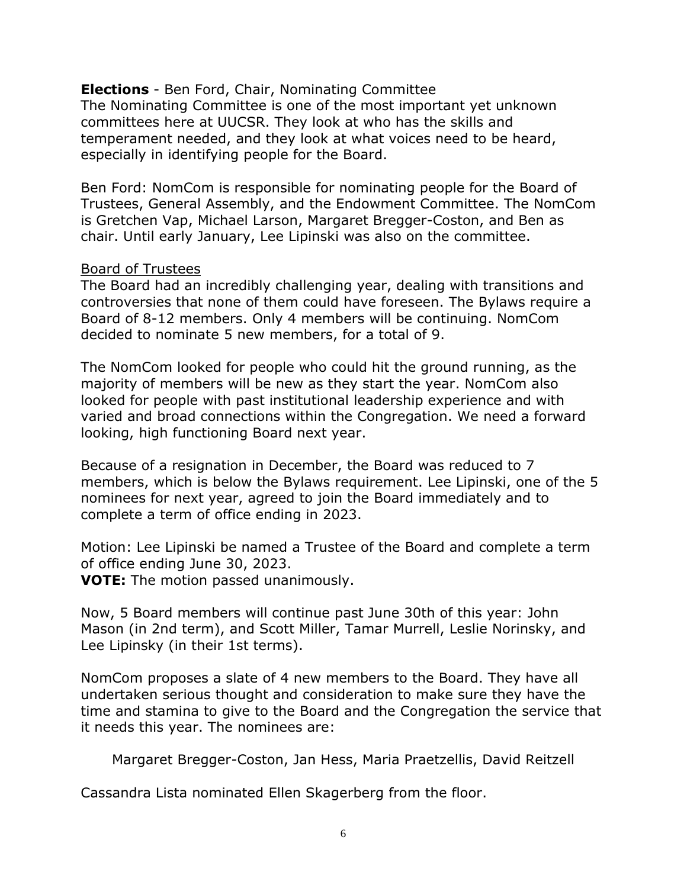**Elections** - Ben Ford, Chair, Nominating Committee The Nominating Committee is one of the most important yet unknown committees here at UUCSR. They look at who has the skills and temperament needed, and they look at what voices need to be heard, especially in identifying people for the Board.

Ben Ford: NomCom is responsible for nominating people for the Board of Trustees, General Assembly, and the Endowment Committee. The NomCom is Gretchen Vap, Michael Larson, Margaret Bregger-Coston, and Ben as chair. Until early January, Lee Lipinski was also on the committee.

#### Board of Trustees

The Board had an incredibly challenging year, dealing with transitions and controversies that none of them could have foreseen. The Bylaws require a Board of 8-12 members. Only 4 members will be continuing. NomCom decided to nominate 5 new members, for a total of 9.

The NomCom looked for people who could hit the ground running, as the majority of members will be new as they start the year. NomCom also looked for people with past institutional leadership experience and with varied and broad connections within the Congregation. We need a forward looking, high functioning Board next year.

Because of a resignation in December, the Board was reduced to 7 members, which is below the Bylaws requirement. Lee Lipinski, one of the 5 nominees for next year, agreed to join the Board immediately and to complete a term of office ending in 2023.

Motion: Lee Lipinski be named a Trustee of the Board and complete a term of office ending June 30, 2023.

**VOTE:** The motion passed unanimously.

Now, 5 Board members will continue past June 30th of this year: John Mason (in 2nd term), and Scott Miller, Tamar Murrell, Leslie Norinsky, and Lee Lipinsky (in their 1st terms).

NomCom proposes a slate of 4 new members to the Board. They have all undertaken serious thought and consideration to make sure they have the time and stamina to give to the Board and the Congregation the service that it needs this year. The nominees are:

Margaret Bregger-Coston, Jan Hess, Maria Praetzellis, David Reitzell

Cassandra Lista nominated Ellen Skagerberg from the floor.